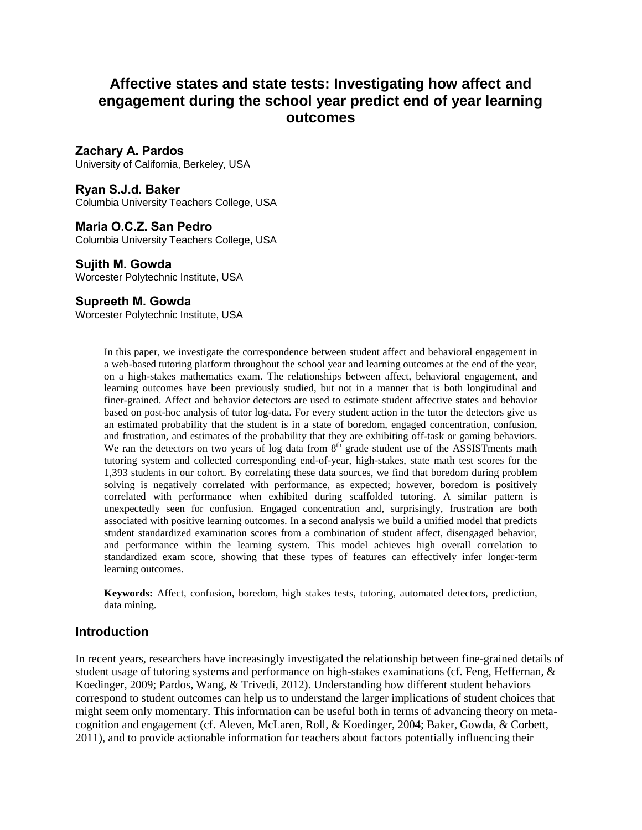# **Affective states and state tests: Investigating how affect and engagement during the school year predict end of year learning outcomes**

### **Zachary A. Pardos**

University of California, Berkeley, USA

### **Ryan S.J.d. Baker**

Columbia University Teachers College, USA

### **Maria O.C.Z. San Pedro**

Columbia University Teachers College, USA

### **Sujith M. Gowda**

Worcester Polytechnic Institute, USA

### **Supreeth M. Gowda**

Worcester Polytechnic Institute, USA

In this paper, we investigate the correspondence between student affect and behavioral engagement in a web-based tutoring platform throughout the school year and learning outcomes at the end of the year, on a high-stakes mathematics exam. The relationships between affect, behavioral engagement, and learning outcomes have been previously studied, but not in a manner that is both longitudinal and finer-grained. Affect and behavior detectors are used to estimate student affective states and behavior based on post-hoc analysis of tutor log-data. For every student action in the tutor the detectors give us an estimated probability that the student is in a state of boredom, engaged concentration, confusion, and frustration, and estimates of the probability that they are exhibiting off-task orgaming behaviors. We ran the detectors on two years of log data from  $8<sup>th</sup>$  grade student use of the ASSISTments math tutoring system and collected corresponding end-of-year, high-stakes, state math test scores for the 1,393 students in our cohort. By correlating these data sources, we find that boredom during problem solving is negatively correlated with performance, as expected; however, boredom is positively correlated with performance when exhibited during scaffolded tutoring. A similar pattern is unexpectedly seen for confusion. Engaged concentration and, surprisingly, frustration are both associated with positive learning outcomes. In a second analysis we build a unified model that predicts student standardized examination scores from a combination of student affect, disengaged behavior, and performance within the learning system. This model achieves high overall correlation to standardized exam score, showing that these types of features can effectively infer longer-term learning outcomes.

**Keywords:** Affect, confusion, boredom, high stakes tests, tutoring, automated detectors, prediction, data mining.

### **Introduction**

In recent years, researchers have increasingly investigated the relationship between fine-grained details of student usage of tutoring systems and performance on high-stakes examinations (cf. Feng, Heffernan, & Koedinger, 2009; Pardos, Wang, & Trivedi, 2012). Understanding how different student behaviors correspond to student outcomes can help us to understand the larger implications of student choices that might seem only momentary. This information can be useful both in terms of advancing theory on meta cognition and engagement (cf. Aleven, McLaren, Roll, & Koedinger, 2004; Baker, Gowda, & Corbett, 2011), and to provide actionable information for teachers about factors potentially influencing their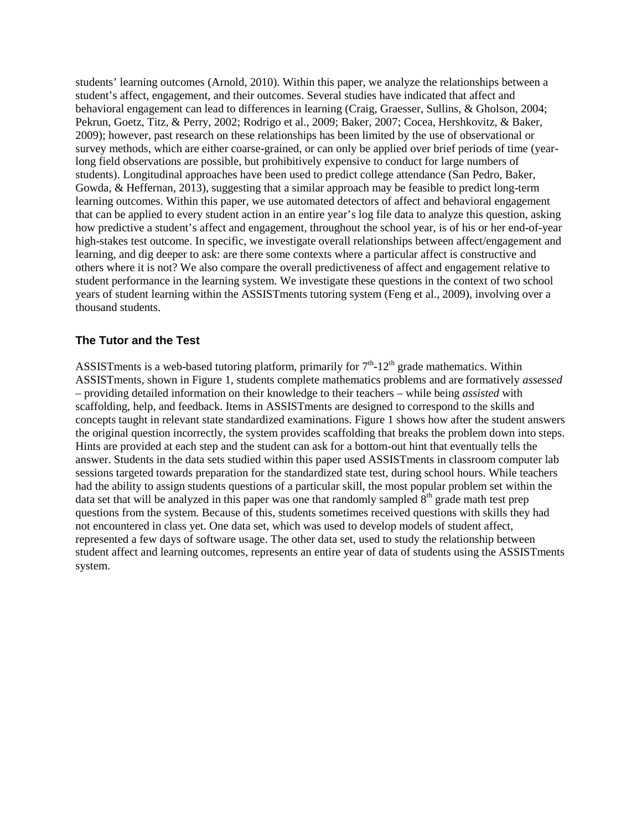students' learning outcomes (Arnold, 2010). Within this paper, we analyze the relationships between a student's affect, engagement, and their outcomes. Several studies have indicated that affect and behavioral engagement can lead to differences in learning (Craig, Graesser, Sullins, & Gholson, 2004; Pekrun, Goetz, Titz, & Perry, 2002; Rodrigo et al., 2009; Baker, 2007; Cocea, Hershkovitz, & Baker, 2009); however, past research on these relationships has been limited by the use of observational or survey methods, which are either coarse-grained, or can only be applied over brief periods of time (yearlong field observations are possible, but prohibitively expensive to conduct for large numbers of students). Longitudinal approaches have been used to predict college attendance (San Pedro, Baker, Gowda, & Heffernan, 2013), suggesting that a similar approach may be feasible to predict long-term learning outcomes. Within this paper, we use automated detectors of affect and behavioral engagement that can be applied to every student action in an entire year's log file data to analyze this question, asking how predictive a student's affect and engagement, throughout the school year, is of his or her end-of-year high-stakes test outcome. In specific, we investigate overall relationships between affect/engagement and learning, and dig deeper to ask: are there some contexts where a particular affect is constructive and others where it is not? We also compare the overall predictiveness of affect and engagement relative to student performance in the learning system. We investigate these questions in the context of two school years of student learning within the ASSISTments tutoring system (Feng et al., 2009), involving over a thousand students.

### **The Tutor and the Test**

ASSISTments is a web-based tutoring platform, primarily for  $7<sup>th</sup>$ -12<sup>th</sup> grade mathematics. Within ASSISTments, shown in Figure 1, students complete mathematics problems and are formatively *assessed* – providing detailed information on their knowledge to their teachers – while being *assisted* with scaffolding, help, and feedback. Items in ASSISTments are designed to correspond to the skills and concepts taught in relevant state standardized examinations. Figure 1 shows how after the student answers the original question incorrectly, the system provides scaffolding that breaks the problem down into steps. Hints are provided at each step and the student can ask for a bottom-out hint that eventually tells the answer. Students in the data sets studied within this paper used ASSISTments in classroom computer lab sessions targeted towards preparation for the standardized state test, during school hours. While teachers had the ability to assign students questions of a particular skill, the most popular problem set within the data set that will be analyzed in this paper was one that randomly sampled  $8<sup>th</sup>$  grade math test prep questions from the system. Because of this, students sometimes received questions with skills they had not encountered in class yet. One data set, which was used to develop models of student affect, represented a few days of software usage. The other data set, used to study the relationship between student affect and learning outcomes, represents an entire year of data of students using the ASSISTments system.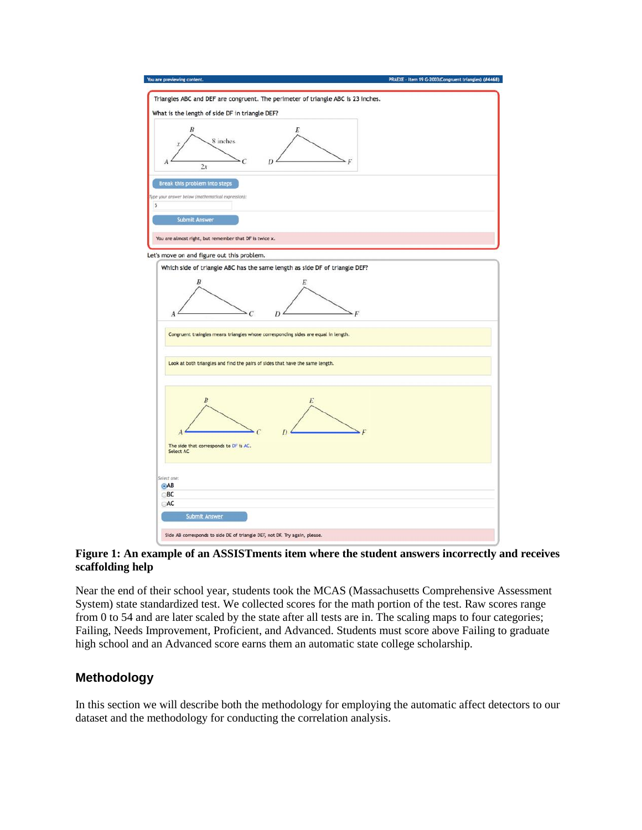

#### **Figure 1: An example of an ASSISTments item where the student answers incorrectly and receives scaffolding help**

Near the end of their school year, students took the MCAS (Massachusetts Comprehensive Assessment System) state standardized test. We collected scores for the math portion of the test. Raw scores range from 0 to 54 and are later scaled by the state after all tests are in. The scaling maps to four categories; Failing, Needs Improvement, Proficient, and Advanced. Students must score above Failing to graduate high school and an Advanced score earns them an automatic state college scholarship.

# **Methodology**

In this section we will describe both the methodology for employing the automatic affect detectors to our dataset and the methodology for conducting the correlation analysis.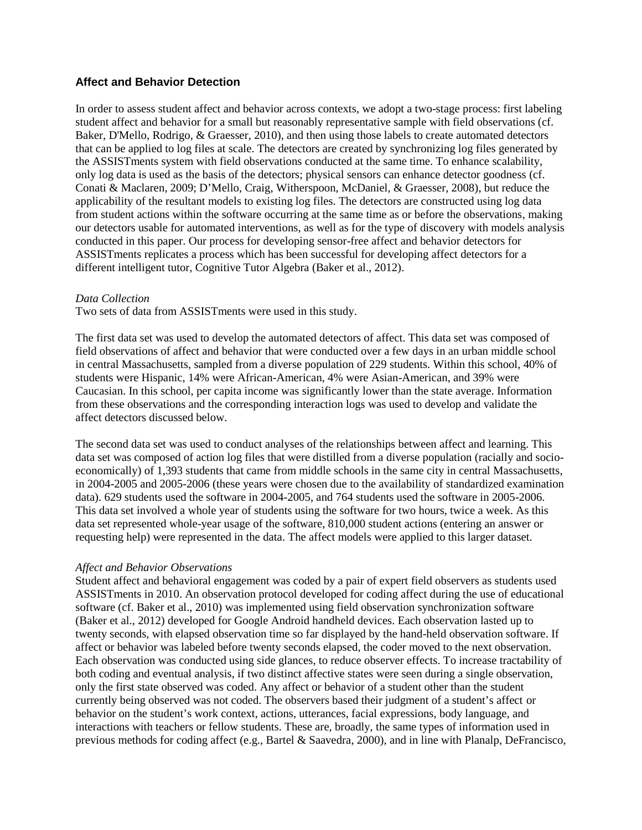### **Affect and Behavior Detection**

In order to assess student affect and behavior across contexts, we adopt a two-stage process: first labeling student affect and behavior for a small but reasonably representative sample with field observations (cf. Baker, D'Mello, Rodrigo, & Graesser, 2010), and then using those labels to create automated detectors that can be applied to log files at scale. The detectors are created by synchronizing log files generated by the ASSISTments system with field observations conducted at the same time. To enhance scalability, only log data is used as the basis of the detectors; physical sensors can enhance detector goodness (cf. Conati & Maclaren, 2009; D'Mello, Craig, Witherspoon, McDaniel, & Graesser, 2008), but reduce the applicability of the resultant models to existing log files. The detectors are constructed using log data from student actions within the software occurring at the same time as or before the observations, making our detectors usable for automated interventions, as well as for the type of discovery with models analysis conducted in this paper. Our process for developing sensor-free affect and behavior detectors for ASSISTments replicates a process which has been successful for developing affect detectors for a different intelligent tutor, Cognitive Tutor Algebra (Baker et al., 2012).

#### *Data Collection*

Two sets of data from ASSISTments were used in this study.

The first data set was used to develop the automated detectors of affect. This data set was composed of field observations of affect and behavior that were conducted over a few days in an urban middle school in central Massachusetts, sampled from a diverse population of 229 students. Within this school, 40% of students were Hispanic, 14% were African-American, 4% were Asian-American, and 39% were Caucasian. In this school, per capita income was significantly lower than the state average. Information from these observations and the corresponding interaction logs was used to develop and validate the affect detectors discussed below.

The second data set was used to conduct analyses of the relationships between affect and learning. This data set was composed of action log files that were distilled from a diverse population (racially and socio economically) of 1,393 students that came from middle schools in the same city in central Massachusetts, in 2004-2005 and 2005-2006 (these years were chosen due to the availability of standardized examination data). 629 students used the software in 2004-2005, and 764 students used the software in 2005-2006. This data set involved a whole year of students using the software for two hours, twice a week. As this data set represented whole-year usage of the software, 810,000 student actions (entering an answer or requesting help) were represented in the data. The affect models were applied to this larger dataset.

#### *Affect and Behavior Observations*

Student affect and behavioral engagement was coded by a pair of expert field observers as students used ASSISTments in 2010. An observation protocol developed for coding affect during the use of educational software (cf. Baker et al., 2010) was implemented using field observation synchronization software (Baker et al., 2012) developed for Google Android handheld devices. Each observation lasted up to twenty seconds, with elapsed observation time so far displayed by the hand-held observation software. If affect or behavior was labeled before twenty seconds elapsed, the coder moved to the next observation. Each observation was conducted using side glances, to reduce observer effects. To increase tractability of both coding and eventual analysis, if two distinct affective states were seen during a single observation, only the first state observed was coded. Any affect or behavior of a student other than the student currently being observed was not coded. The observers based their judgment of a student's affect or behavior on the student's work context, actions, utterances, facial expressions, body language, and interactions with teachers or fellow students. These are, broadly, the same types of information used in previous methods for coding affect (e.g., Bartel & Saavedra, 2000), and in line with Planalp, DeFrancisco,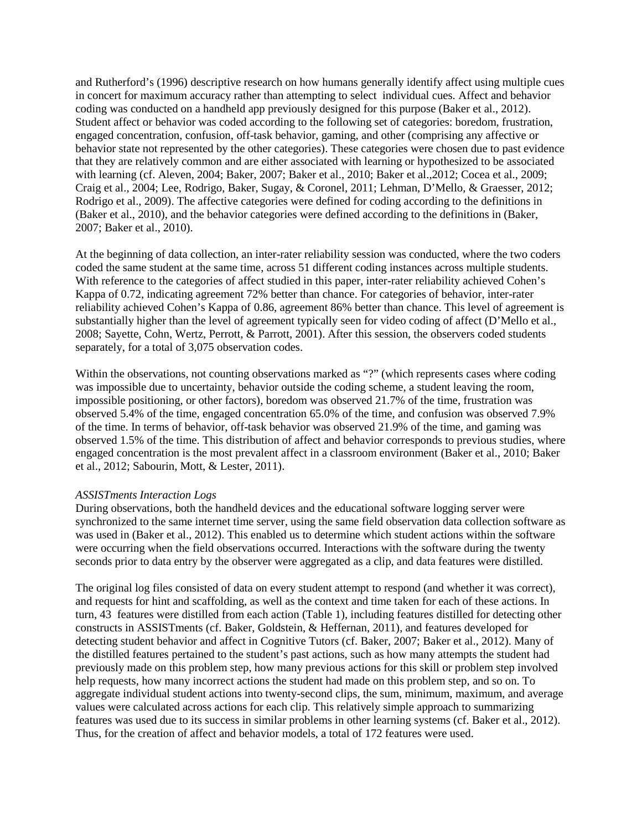and Rutherford's (1996) descriptive research on how humans generally identify affect using multiple cues in concert for maximum accuracy rather than attempting to select individual cues. Affect and behavior coding was conducted on a handheld app previously designed for this purpose (Baker et al., 2012). Student affect or behavior was coded according to the following set of categories: boredom, frustration, engaged concentration, confusion, off-task behavior, gaming, and other (comprising any affective or behavior state not represented by the other categories). These categories were chosen due to past evidence that they are relatively common and are either associated with learning or hypothesized to be associated with learning (cf. Aleven, 2004; Baker, 2007; Baker et al., 2010; Baker et al.,2012; Cocea et al., 2009; Craig et al., 2004; Lee, Rodrigo, Baker, Sugay, & Coronel, 2011; Lehman, D'Mello, & Graesser, 2012; Rodrigo et al., 2009). The affective categories were defined for coding according to the definitions in (Baker et al., 2010), and the behavior categories were defined according to the definitions in (Baker, 2007; Baker et al., 2010).

At the beginning of data collection, an inter-rater reliability session was conducted, where the two coders coded the same student at the same time, across 51 different coding instances across multiple students. With reference to the categories of affect studied in this paper, inter-rater reliability achieved Cohen's Kappa of 0.72, indicating agreement 72% better than chance. For categories of behavior, inter-rater reliability achieved Cohen's Kappa of 0.86, agreement 86% better than chance. This level of agreement is substantially higher than the level of agreement typically seen for video coding of affect (D'Mello et al., 2008; Sayette, Cohn, Wertz, Perrott, & Parrott, 2001). After this session, the observers coded students separately, for a total of 3,075 observation codes.

Within the observations, not counting observations marked as "?" (which represents cases where coding was impossible due to uncertainty, behavior outside the coding scheme, a student leaving the room, impossible positioning, or other factors), boredom was observed 21.7% of the time, frustration was observed 5.4% of the time, engaged concentration 65.0% of the time, and confusion was observed 7.9% of the time. In terms of behavior, off-task behavior was observed 21.9% of the time, and gaming was observed 1.5% of the time. This distribution of affect and behavior corresponds to previous studies, where engaged concentration is the most prevalent affect in a classroom environment (Baker et al., 2010; Baker et al., 2012; Sabourin, Mott, & Lester, 2011).

#### *ASSISTments Interaction Logs*

During observations, both the handheld devices and the educational software logging server were synchronized to the same internet time server, using the same field observation data collection software as was used in (Baker et al., 2012). This enabled us to determine which student actions within the software were occurring when the field observations occurred. Interactions with the software during the twenty seconds prior to data entry by the observer were aggregated as a clip, and data features were distilled.

The original log files consisted of data on every student attempt to respond (and whether it was correct), and requests for hint and scaffolding, as well as the context and time taken for each of these actions. In turn, 43 features were distilled from each action (Table 1), including features distilled for detecting other constructs in ASSISTments (cf. Baker, Goldstein, & Heffernan, 2011), and features developed for detecting student behavior and affect in Cognitive Tutors (cf. Baker, 2007; Baker et al., 2012). Many of the distilled features pertained to the student's past actions, such as how many attempts the student had previously made on this problem step, how many previous actions for this skill or problem step involved help requests, how many incorrect actions the student had made on this problem step, and so on. To aggregate individual student actions into twenty-second clips, the sum, minimum, maximum, and average values were calculated across actions for each clip. This relatively simple approach to summarizing features was used due to its success in similar problems in other learning systems (cf. Baker et al., 2012). Thus, for the creation of affect and behavior models, a total of 172 features were used.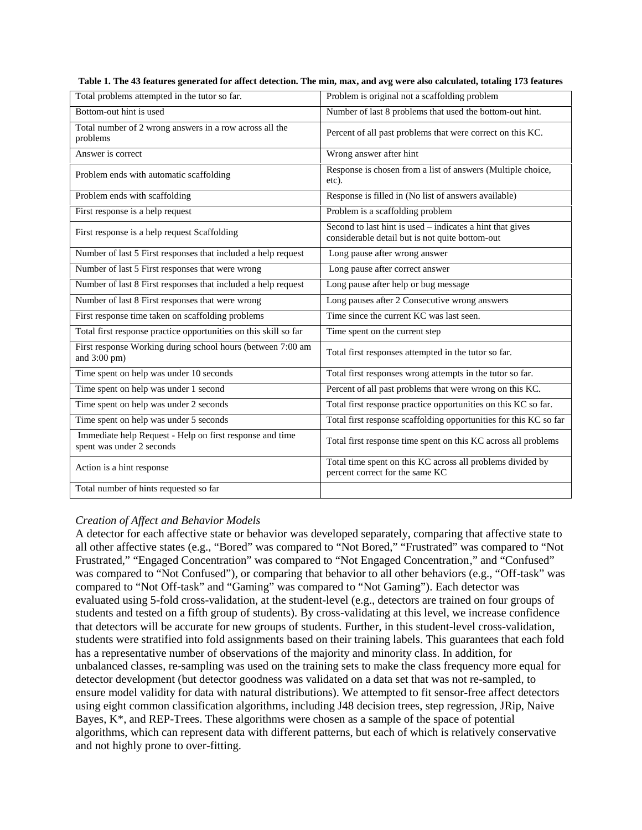| Table 1. The 43 features generated for affect detection. The min, max, and avg were also calculated, totaling 173 features |  |  |
|----------------------------------------------------------------------------------------------------------------------------|--|--|
|----------------------------------------------------------------------------------------------------------------------------|--|--|

| Total problems attempted in the tutor so far.                                         | Problem is original not a scaffolding problem                                                                  |
|---------------------------------------------------------------------------------------|----------------------------------------------------------------------------------------------------------------|
| Bottom-out hint is used                                                               | Number of last 8 problems that used the bottom-out hint.                                                       |
| Total number of 2 wrong answers in a row across all the<br>problems                   | Percent of all past problems that were correct on this KC.                                                     |
| Answer is correct                                                                     | Wrong answer after hint                                                                                        |
| Problem ends with automatic scaffolding                                               | Response is chosen from a list of answers (Multiple choice,<br>etc).                                           |
| Problem ends with scaffolding                                                         | Response is filled in (No list of answers available)                                                           |
| First response is a help request                                                      | Problem is a scaffolding problem                                                                               |
| First response is a help request Scaffolding                                          | Second to last hint is used $-$ indicates a hint that gives<br>considerable detail but is not quite bottom-out |
| Number of last 5 First responses that included a help request                         | Long pause after wrong answer                                                                                  |
| Number of last 5 First responses that were wrong                                      | Long pause after correct answer                                                                                |
| Number of last 8 First responses that included a help request                         | Long pause after help or bug message                                                                           |
| Number of last 8 First responses that were wrong                                      | Long pauses after 2 Consecutive wrong answers                                                                  |
| First response time taken on scaffolding problems                                     | Time since the current KC was last seen.                                                                       |
| Total first response practice opportunities on this skill so far                      | Time spent on the current step                                                                                 |
| First response Working during school hours (between 7:00 am<br>and 3:00 pm)           | Total first responses attempted in the tutor so far.                                                           |
| Time spent on help was under 10 seconds                                               | Total first responses wrong attempts in the tutor so far.                                                      |
| Time spent on help was under 1 second                                                 | Percent of all past problems that were wrong on this KC.                                                       |
| Time spent on help was under 2 seconds                                                | Total first response practice opportunities on this KC so far.                                                 |
| Time spent on help was under 5 seconds                                                | Total first response scaffolding opportunities for this KC so far                                              |
| Immediate help Request - Help on first response and time<br>spent was under 2 seconds | Total first response time spent on this KC across all problems                                                 |
| Action is a hint response                                                             | Total time spent on this KC across all problems divided by<br>percent correct for the same KC                  |
| Total number of hints requested so far                                                |                                                                                                                |
|                                                                                       |                                                                                                                |

#### *Creation of Affect and Behavior Models*

A detector for each affective state or behavior was developed separately, comparing that affective state to all other affective states (e.g., "Bored" was compared to "Not Bored," "Frustrated" was compared to "Not Frustrated," "Engaged Concentration" was compared to "Not Engaged Concentration," and "Confused" was compared to "Not Confused"), or comparing that behavior to all other behaviors (e.g., "Off-task" was compared to "Not Off-task" and "Gaming" was compared to "Not Gaming"). Each detector was evaluated using 5-fold cross-validation, at the student-level (e.g., detectors are trained on four groups of students and tested on a fifth group of students). By cross-validating at this level, we increase confidence that detectors will be accurate for new groups of students. Further, in this student-level cross-validation, students were stratified into fold assignments based on their training labels. This guarantees that each fold has a representative number of observations of the majority and minority class. In addition, for unbalanced classes, re-sampling was used on the training sets to make the class frequency more equal for detector development (but detector goodness was validated on a data set that was not re-sampled, to ensure model validity for data with natural distributions). We attempted to fit sensor-free affect detectors using eight common classification algorithms, including J48 decision trees, step regression, JRip, Naive Bayes, K\*, and REP-Trees. These algorithms were chosen as a sample of the space of potential algorithms, which can represent data with different patterns, but each of which is relatively conservative and not highly prone to over-fitting.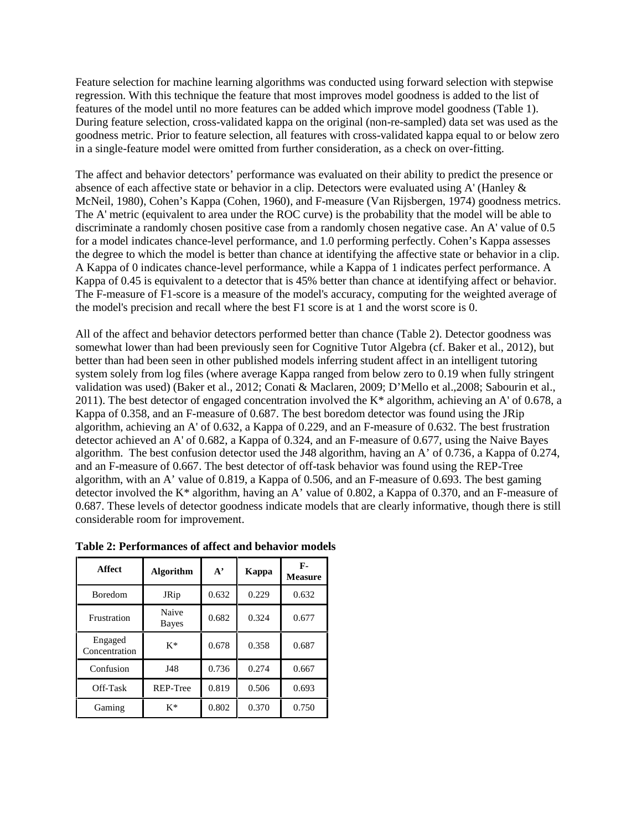Feature selection for machine learning algorithms was conducted using forward selection with stepwise regression. With this technique the feature that most improves model goodness is added to the list of features of the model until no more features can be added which improve model goodness (Table 1). During feature selection, cross-validated kappa on the original (non-re-sampled) data set was used as the goodness metric. Prior to feature selection, all features with cross-validated kappa equal to or below zero in a single-feature model were omitted from further consideration, as a check on over-fitting.

The affect and behavior detectors' performance was evaluated on their ability to predict the presence or absence of each affective state or behavior in a clip. Detectors were evaluated using A' (Hanley & McNeil, 1980), Cohen's Kappa (Cohen, 1960), and F-measure (Van Rijsbergen, 1974) goodness metrics. The A' metric (equivalent to area under the ROC curve) is the probability that the model will be able to discriminate a randomly chosen positive case from a randomly chosen negative case. An A' value of 0.5 for a model indicates chance-level performance, and 1.0 performing perfectly. Cohen's Kappa assesses the degree to which the model is better than chance at identifying the affective state or behavior in a clip. A Kappa of 0 indicates chance-level performance, while a Kappa of 1 indicates perfect performance. A Kappa of 0.45 is equivalent to a detector that is 45% better than chance at identifying affect or behavior. The F-measure of F1-score is a measure of the model's accuracy, computing for the weighted average of the model's precision and recall where the best F1 score is at 1 and the worst score is 0.

All of the affect and behavior detectors performed better than chance (Table 2). Detector goodness was somewhat lower than had been previously seen for Cognitive Tutor Algebra (cf. Baker et al., 2012), but better than had been seen in other published models inferring student affect in an intelligent tutoring system solely from log files (where average Kappa ranged from below zero to 0.19 when fully stringent validation was used) (Baker et al., 2012; Conati & Maclaren, 2009; D'Mello et al.,2008; Sabourin et al., 2011). The best detector of engaged concentration involved the  $K^*$  algorithm, achieving an A' of 0.678, a Kappa of 0.358, and an F-measure of 0.687. The best boredom detector was found using the JRip algorithm, achieving an A' of 0.632, a Kappa of 0.229, and an F-measure of 0.632. The best frustration detector achieved an A' of 0.682, a Kappa of 0.324, and an F-measure of 0.677, using the Naive Bayes algorithm. The best confusion detector used the J48 algorithm, having an A' of 0.736, a Kappa of 0.274, and an F-measure of 0.667. The best detector of off-task behavior was found using the REP-Tree algorithm, with an A' value of 0.819, a Kappa of 0.506, and an F-measure of 0.693. The best gaming detector involved the K\* algorithm, having an A' value of 0.802, a Kappa of 0.370, and an F-measure of 0.687. These levels of detector goodness indicate models that are clearly informative, though there is still considerable room for improvement.

| <b>Affect</b>            | <b>Algorithm</b>      | $A^{\prime}$ | Kappa | F-<br><b>Measure</b> |
|--------------------------|-----------------------|--------------|-------|----------------------|
| <b>Boredom</b>           | <b>JRip</b>           | 0.632        | 0.229 | 0.632                |
| Frustration              | Naive<br><b>Bayes</b> | 0.682        | 0.324 | 0.677                |
| Engaged<br>Concentration | $K^*$                 | 0.678        | 0.358 | 0.687                |
| Confusion                | J48                   | 0.736        | 0.274 | 0.667                |
| Off-Task                 | REP-Tree              | 0.819        | 0.506 | 0.693                |
| Gaming                   | $K^*$                 | 0.802        | 0.370 | 0.750                |

**Table 2: Performances of affect and behavior models**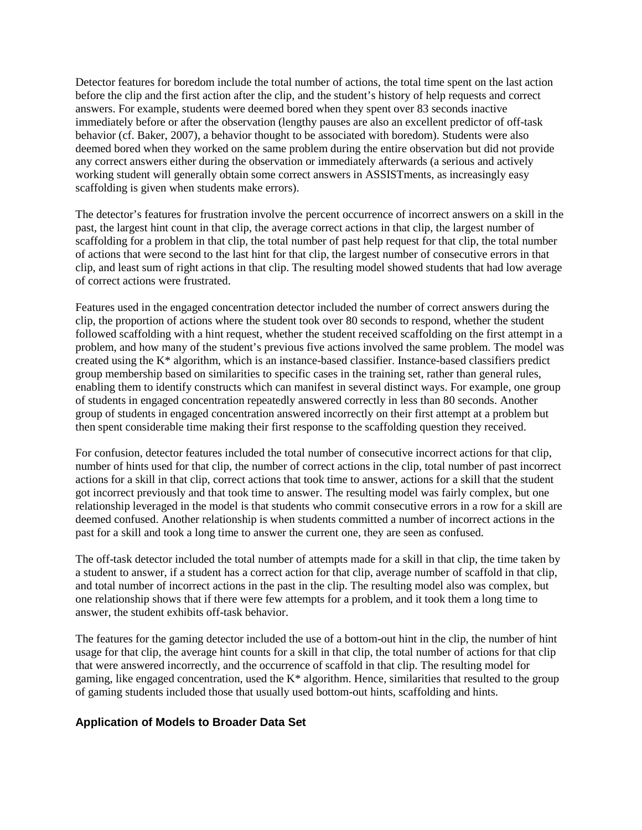Detector features for boredom include the total number of actions, the total time spent on the last action before the clip and the first action after the clip, and the student's history of help requests and correct answers. For example, students were deemed bored when they spent over 83 seconds inactive immediately before or after the observation (lengthy pauses are also an excellent predictor of off-task behavior (cf. Baker, 2007), a behavior thought to be associated with boredom). Students were also deemed bored when they worked on the same problem during the entire observation but did not provide any correct answers either during the observation or immediately afterwards (a serious and actively working student will generally obtain some correct answers in ASSISTments, as increasingly easy scaffolding is given when students make errors).

The detector's features for frustration involve the percent occurrence of incorrect answers on a skill in the past, the largest hint count in that clip, the average correct actions in that clip, the largest number of scaffolding for a problem in that clip, the total number of past help request for that clip, the total number of actions that were second to the last hint for that clip, the largest number of consecutive errors in that clip, and least sum of right actions in that clip. The resulting model showed students that had low average of correct actions were frustrated.

Features used in the engaged concentration detector included the number of correct answers during the clip, the proportion of actions where the student took over 80 seconds to respond, whether the student followed scaffolding with a hint request, whether the student received scaffolding on the first attempt in a problem, and how many of the student's previous five actions involved the same problem. The model was created using the K\* algorithm, which is an instance-based classifier. Instance-based classifiers predict group membership based on similarities to specific cases in the training set, rather than general rules, enabling them to identify constructs which can manifest in several distinct ways. For example, one group of students in engaged concentration repeatedly answered correctly in less than 80 seconds. Another group of students in engaged concentration answered incorrectly on their first attempt at a problem but then spent considerable time making their first response to the scaffolding question they received.

For confusion, detector features included the total number of consecutive incorrect actions for that clip, number of hints used for that clip, the number of correct actions in the clip, total number of past incorrect actions for a skill in that clip, correct actions that took time to answer, actions for a skill that the student got incorrect previously and that took time to answer. The resulting model was fairly complex, but one relationship leveraged in the model is that students who commit consecutive errors in a row for a skill are deemed confused. Another relationship is when students committed a number of incorrect actions in the past for a skill and took a long time to answer the current one, they are seen as confused.

The off-task detector included the total number of attempts made for a skill in that clip, the time taken by a student to answer, if a student has a correct action for that clip, average number of scaffold in that clip, and total number of incorrect actions in the past in the clip. The resulting model also was complex, but one relationship shows that if there were few attempts for a problem, and it took them a long time to answer, the student exhibits off-task behavior.

The features for the gaming detector included the use of a bottom-out hint in the clip, the number of hint usage for that clip, the average hint counts for a skill in that clip, the total number of actions for that clip that were answered incorrectly, and the occurrence of scaffold in that clip. The resulting model for gaming, like engaged concentration, used the K\* algorithm. Hence, similarities that resulted to the group of gaming students included those that usually used bottom-out hints, scaffolding and hints.

### **Application of Models to Broader Data Set**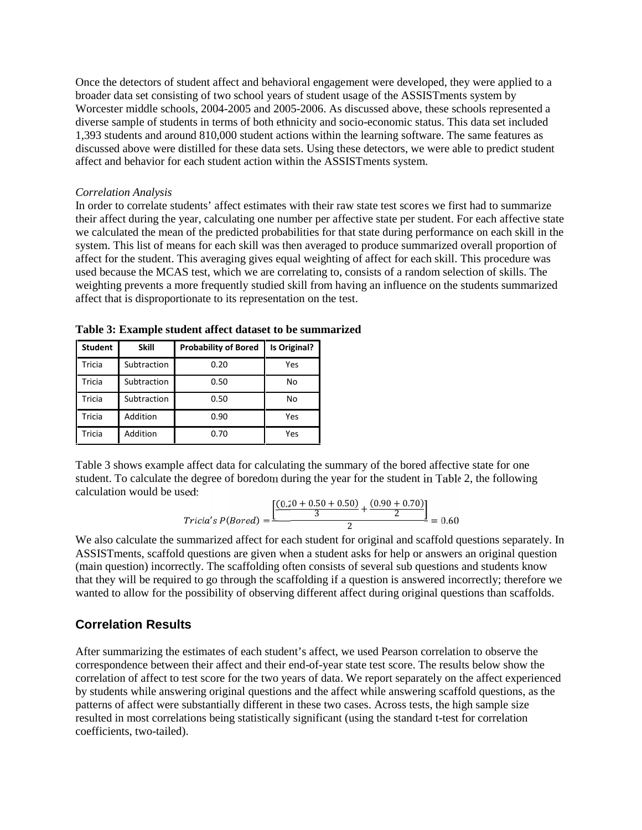Once the detectors of student affect and behavioral engagement were developed, they were applied to a broader data set consisting of two school years of student usage of the ASSISTments system by Worcester middle schools, 2004-2005 and 2005-2006. As discussed above, these schools represented a diverse sample of students in terms of both ethnicity and socio-economic status. This data set included 1,393 students and around 810,000 student actions within the learning software. The same features as discussed above were distilled for these data sets. Using these detectors, we were able to predict student affect and behavior for each student action within the ASSISTments system.

#### *Correlation Analysis*

In order to correlate students' affect estimates with their raw state test scores we first had to summarize their affect during the year, calculating one number per affective state per student. For each affective state we calculated the mean of the predicted probabilities for that state during performance on each skill in the system. This list of means for each skill was then averaged to produce summarized overall proportion of affect for the student. This averaging gives equal weighting of affect for each skill. This procedure was used because the MCAS test, which we are correlating to, consists of a random selection of skills. The weighting prevents a more frequently studied skill from having an influence on the students summarized affect that is disproportionate to its representation on the test.

| <b>Student</b> | <b>Skill</b> | <b>Probability of Bored</b> | Is Original? |
|----------------|--------------|-----------------------------|--------------|
| Tricia         | Subtraction  | 0.20                        | Yes          |
| <b>Tricia</b>  | Subtraction  | 0.50                        | No           |
| <b>Tricia</b>  | Subtraction  | 0.50                        | No           |
| <b>Tricia</b>  | Addition     | 0.90                        | Yes          |
| Tricia         | Addition     | 0.70                        | Yes          |

**Table 3: Example student affect dataset to be summarized**

Table 3 shows example affect data for calculating the summary of the bored affective state for one student. To calculate the degree of boredom during the year for the student in Table 2, the following calculation would be used:

$$
Tricia's P(Bored) = \frac{\left[\frac{(0.20 + 0.50 + 0.50)}{3} + \frac{(0.90 + 0.70)}{2}\right]}{2} = 0.60
$$

We also calculate the summarized affect for each student for original and scaffold questions separately. In ASSISTments, scaffold questions are given when a student asks for help or answers an original question (main question) incorrectly. The scaffolding often consists of several sub questions and students know that they will be required to go through the scaffolding if a question is answered incorrectly; therefore we wanted to allow for the possibility of observing different affect during original questions than scaffolds.

# **Correlation Results**

After summarizing the estimates of each student's affect, we used Pearson correlation to observe the correspondence between their affect and their end-of-year state test score. The results below show the correlation of affect to test score for the two years of data. We report separately on the affect experienced by students while answering original questions and the affect while answering scaffold questions, as the patterns of affect were substantially different in these two cases. Across tests, the high sample size resulted in most correlations being statistically significant (using the standard t-test for correlation coefficients, two-tailed).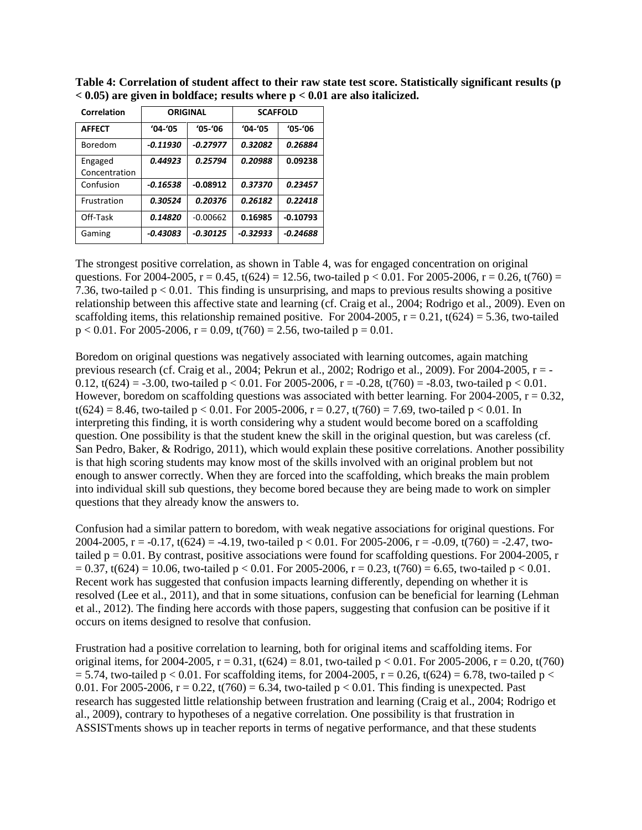| Correlation              | <b>ORIGINAL</b> |             | <b>SCAFFOLD</b> |             |  |
|--------------------------|-----------------|-------------|-----------------|-------------|--|
| <b>AFFECT</b>            | $'04 - '05$     | $'05 - '06$ | $'04 - '05$     | $'05 - '06$ |  |
| Boredom                  | $-0.11930$      | $-0.27977$  | 0.32082         | 0.26884     |  |
| Engaged<br>Concentration | 0.44923         | 0.25794     | 0.20988         | 0.09238     |  |
| Confusion                | $-0.16538$      | $-0.08912$  | 0.37370         | 0.23457     |  |
| Frustration              | 0.30524         | 0.20376     | 0.26182         | 0.22418     |  |
| Off-Task                 | 0.14820         | $-0.00662$  | 0.16985         | $-0.10793$  |  |
| Gaming                   | -0.43083        | $-0.30125$  | $-0.32933$      | $-0.24688$  |  |

**Table 4: Correlation of student affect to their raw state test score. Statistically significant results (p < 0.05) are given in boldface; results where p < 0.01 are also italicized.**

The strongest positive correlation, as shown in Table 4, was for engaged concentration on original questions. For 2004-2005,  $r = 0.45$ ,  $t(624) = 12.56$ , two-tailed  $p < 0.01$ . For 2005-2006,  $r = 0.26$ ,  $t(760) =$ 7.36, two-tailed  $p < 0.01$ . This finding is unsurprising, and maps to previous results showing a positive relationship between this affective state and learning (cf. Craig et al., 2004; Rodrigo et al., 2009). Even on scaffolding items, this relationship remained positive. For 2004-2005,  $r = 0.21$ ,  $t(624) = 5.36$ , two-tailed  $p < 0.01$ . For 2005-2006,  $r = 0.09$ ,  $t(760) = 2.56$ , two-tailed  $p = 0.01$ .

Boredom on original questions was negatively associated with learning outcomes, again matching previous research (cf. Craig et al., 2004; Pekrun et al., 2002; Rodrigo et al., 2009). For 2004-2005, r = - 0.12, t(624) = -3.00, two-tailed p < 0.01. For 2005-2006, r = -0.28, t(760) = -8.03, two-tailed p < 0.01. However, boredom on scaffolding questions was associated with better learning. For 2004-2005,  $r = 0.32$ ,  $t(624) = 8.46$ , two-tailed  $p < 0.01$ . For 2005-2006,  $r = 0.27$ ,  $t(760) = 7.69$ , two-tailed  $p < 0.01$ . In interpreting this finding, it is worth considering why a student would become bored on a scaffolding question. One possibility is that the student knew the skill in the original question, but was careless (cf. San Pedro, Baker, & Rodrigo, 2011), which would explain these positive correlations. Another possibility is that high scoring students may know most of the skills involved with an original problem but not enough to answer correctly. When they are forced into the scaffolding, which breaks the main problem into individual skill sub questions, they become bored because they are being made to work on simpler questions that they already know the answers to.

Confusion had a similar pattern to boredom, with weak negative associations for original questions. For 2004-2005, r = -0.17, t(624) = -4.19, two-tailed p < 0.01. For 2005-2006, r = -0.09, t(760) = -2.47, twotailed  $p = 0.01$ . By contrast, positive associations were found for scaffolding questions. For 2004-2005, r  $= 0.37$ , t(624) = 10.06, two-tailed p < 0.01. For 2005-2006, r = 0.23, t(760) = 6.65, two-tailed p < 0.01. Recent work has suggested that confusion impacts learning differently, depending on whether it is resolved (Lee et al., 2011), and that in some situations, confusion can be beneficial for learning (Lehman et al., 2012). The finding here accords with those papers, suggesting that confusion can be positive if it occurs on items designed to resolve that confusion.

Frustration had a positive correlation to learning, both for original items and scaffolding items. For original items, for 2004-2005,  $r = 0.31$ ,  $t(624) = 8.01$ , two-tailed  $p < 0.01$ . For 2005-2006,  $r = 0.20$ ,  $t(760)$  $= 5.74$ , two-tailed p < 0.01. For scaffolding items, for 2004-2005, r = 0.26, t(624) = 6.78, two-tailed p < 0.01. For 2005-2006,  $r = 0.22$ ,  $t(760) = 6.34$ , two-tailed  $p < 0.01$ . This finding is unexpected. Past research has suggested little relationship between frustration and learning (Craig et al., 2004; Rodrigo et al., 2009), contrary to hypotheses of a negative correlation. One possibility is that frustration in ASSISTments shows up in teacher reports in terms of negative performance, and that these students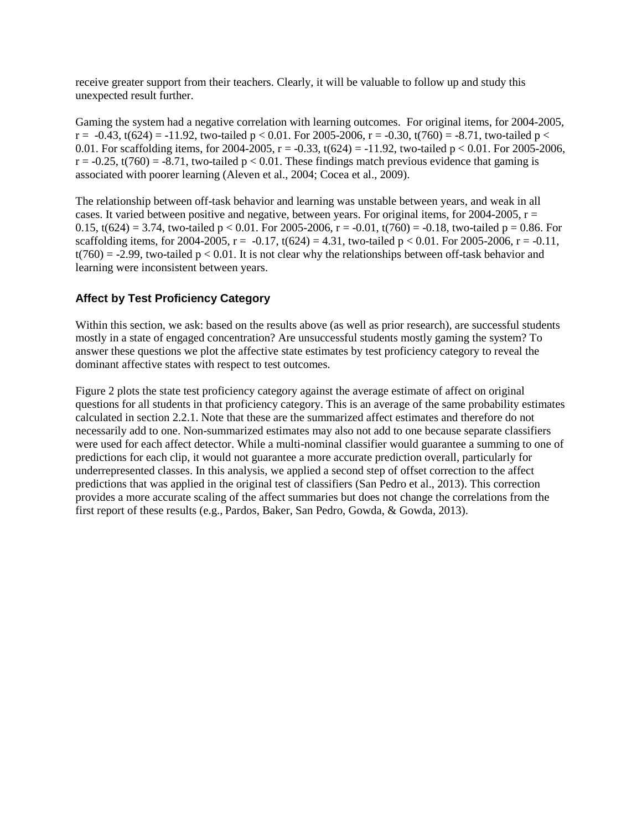receive greater support from their teachers. Clearly, it will be valuable to follow up and study this unexpected result further.

Gaming the system had a negative correlation with learning outcomes. For original items, for 2004-2005,  $r = -0.43$ ,  $t(624) = -11.92$ , two-tailed  $p < 0.01$ . For 2005-2006,  $r = -0.30$ ,  $t(760) = -8.71$ , two-tailed  $p <$ 0.01. For scaffolding items, for 2004-2005,  $r = -0.33$ ,  $t(624) = -11.92$ , two-tailed  $p < 0.01$ . For 2005-2006,  $r = -0.25$ ,  $t(760) = -8.71$ , two-tailed  $p < 0.01$ . These findings match previous evidence that gaming is associated with poorer learning (Aleven et al., 2004; Cocea et al., 2009).

The relationship between off-task behavior and learning was unstable between years, and weak in all cases. It varied between positive and negative, between years. For original items, for  $2004-2005$ ,  $r =$ 0.15, t(624) = 3.74, two-tailed p < 0.01. For 2005-2006, r = -0.01, t(760) = -0.18, two-tailed p = 0.86. For scaffolding items, for 2004-2005,  $r = -0.17$ ,  $t(624) = 4.31$ , two-tailed  $p < 0.01$ . For 2005-2006,  $r = -0.11$ ,  $t(760) = -2.99$ , two-tailed  $p < 0.01$ . It is not clear why the relationships between off-task behavior and learning were inconsistent between years.

### **Affect by Test Proficiency Category**

Within this section, we ask: based on the results above (as well as prior research), are successful students mostly in a state of engaged concentration? Are unsuccessful students mostly gaming the system? To answer these questions we plot the affective state estimates by test proficiency category to reveal the dominant affective states with respect to test outcomes.

Figure 2 plots the state test proficiency category against the average estimate of affect on original questions for all students in that proficiency category. This is an average of the same probability estimates calculated in section 2.2.1. Note that these are the summarized affect estimates and therefore do not necessarily add to one. Non-summarized estimates may also not add to one because separate classifiers were used for each affect detector. While a multi-nominal classifier would guarantee a summing to one of predictions for each clip, it would not guarantee a more accurate prediction overall, particularly for underrepresented classes. In this analysis, we applied a second step of offset correction to the affect predictions that was applied in the original test of classifiers (San Pedro et al., 2013). This correction provides a more accurate scaling of the affect summaries but does not change the correlations from the first report of these results (e.g., Pardos, Baker, San Pedro, Gowda, & Gowda, 2013).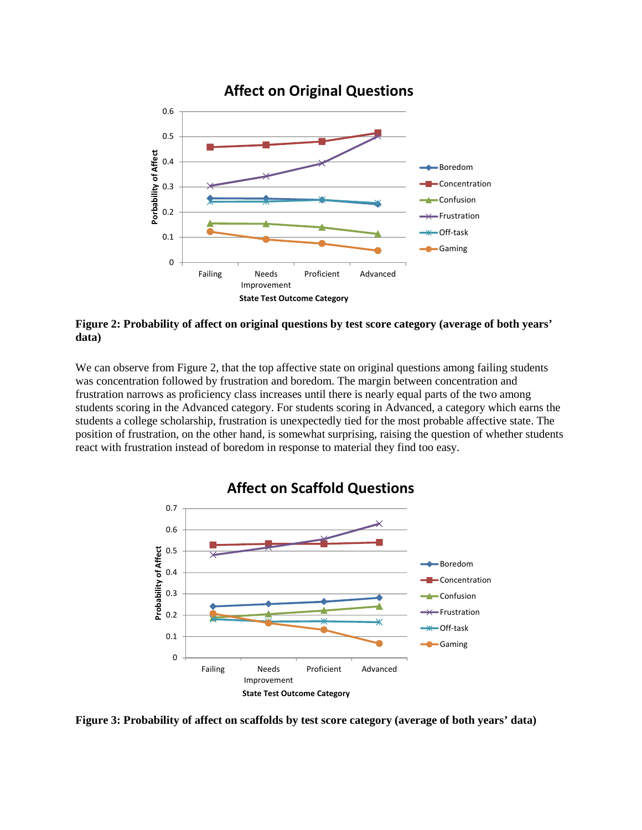

**Figure 2: Probability of affect on original questions by test score category (average of both years' data)**

We can observe from Figure 2, that the top affective state on original questions among failing students was concentration followed by frustration and boredom. The margin between concentration and frustration narrows as proficiency class increases until there is nearly equal parts of the two among students scoring in the Advanced category. For students scoring in Advanced, a category which earns the students a college scholarship, frustration is unexpectedly tied for the most probable affective state. The position of frustration, on the other hand, is somewhat surprising, raising the question of whether students react with frustration instead of boredom in response to material they find too easy.



**Affect on Scaffold Questions**

**Figure 3: Probability of affect on scaffolds by test score category (average of both years' data)**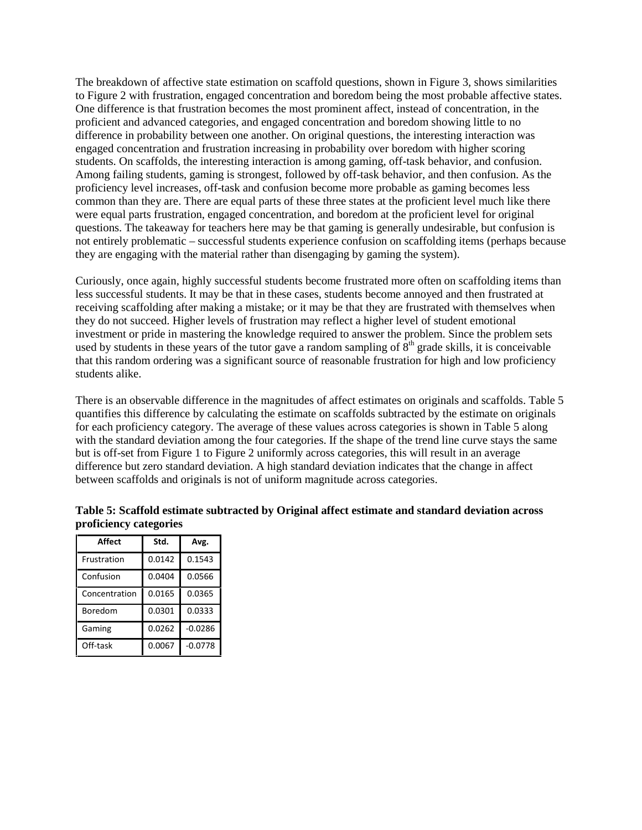The breakdown of affective state estimation on scaffold questions, shown in Figure 3, shows similarities to Figure 2 with frustration, engaged concentration and boredom being the most probable affective states. One difference is that frustration becomes the most prominent affect, instead of concentration, in the proficient and advanced categories, and engaged concentration and boredom showing little to no difference in probability between one another. On original questions, the interesting interaction was engaged concentration and frustration increasing in probability over boredom with higher scoring students. On scaffolds, the interesting interaction is among gaming, off-task behavior, and confusion. Among failing students, gaming is strongest, followed by off-task behavior, and then confusion. As the proficiency level increases, off-task and confusion become more probable as gaming becomes less common than they are. There are equal parts of these three states at the proficient level much like there were equal parts frustration, engaged concentration, and boredom at the proficient level for original questions. The takeaway for teachers here may be that gaming is generally undesirable, but confusion is not entirely problematic – successful students experience confusion on scaffolding items (perhaps because they are engaging with the material rather than disengaging by gaming the system).

Curiously, once again, highly successful students become frustrated more often on scaffolding items than less successful students. It may be that in these cases, students become annoyed and then frustrated at receiving scaffolding after making a mistake; or it may be that they are frustrated with themselves when they do not succeed. Higher levels of frustration may reflect a higher level of student emotional investment or pride in mastering the knowledge required to answer the problem. Since the problem sets used by students in these years of the tutor gave a random sampling of  $8<sup>th</sup>$  grade skills, it is conceivable that this random ordering was a significant source of reasonable frustration for high and low proficiency students alike.

There is an observable difference in the magnitudes of affect estimates on originals and scaffolds. Table 5 quantifies this difference by calculating the estimate on scaffolds subtracted by the estimate on originals for each proficiency category. The average of these values across categories is shown in Table 5 along with the standard deviation among the four categories. If the shape of the trend line curve stays the same but is off-set from Figure 1 to Figure 2 uniformly across categories, this will result in an average difference but zero standard deviation. A high standard deviation indicates that the change in affect between scaffolds and originals is not of uniform magnitude across categories.

| Affect        | Std.   | Avg.      |
|---------------|--------|-----------|
| Frustration   | 0.0142 | 0.1543    |
| Confusion     | 0.0404 | 0.0566    |
| Concentration | 0.0165 | 0.0365    |
| Boredom       | 0.0301 | 0.0333    |
| Gaming        | 0.0262 | $-0.0286$ |
| Off-task      | 0.0067 | $-0.0778$ |

### **Table 5: Scaffold estimate subtracted by Original affect estimate and standard deviation across proficiency categories**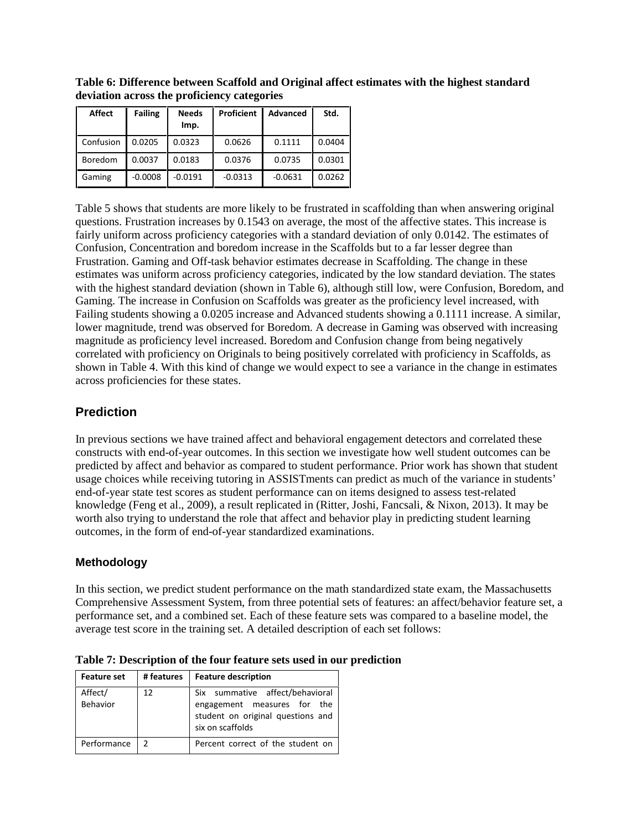| Affect         | <b>Failing</b> | <b>Needs</b><br>Imp. | <b>Proficient</b> | Advanced  | Std.   |
|----------------|----------------|----------------------|-------------------|-----------|--------|
| Confusion      | 0.0205         | 0.0323               | 0.0626            | 0.1111    | 0.0404 |
| <b>Boredom</b> | 0.0037         | 0.0183               | 0.0376            | 0.0735    | 0.0301 |
| Gaming         | $-0.0008$      | $-0.0191$            | $-0.0313$         | $-0.0631$ | 0.0262 |

**Table 6: Difference between Scaffold and Original affect estimates with the highest standard deviation across the proficiency categories**

Table 5 shows that students are more likely to be frustrated in scaffolding than when answering original questions. Frustration increases by 0.1543 on average, the most of the affective states. This increase is fairly uniform across proficiency categories with a standard deviation of only 0.0142. The estimates of Confusion, Concentration and boredom increase in the Scaffolds but to a far lesser degree than Frustration. Gaming and Off-task behavior estimates decrease in Scaffolding. The change in these estimates was uniform across proficiency categories, indicated by the low standard deviation. The states with the highest standard deviation (shown in Table 6), although still low, were Confusion, Boredom, and Gaming. The increase in Confusion on Scaffolds was greater as the proficiency level increased, with Failing students showing a 0.0205 increase and Advanced students showing a 0.1111 increase. A similar, lower magnitude, trend was observed for Boredom. A decrease in Gaming was observed with increasing magnitude as proficiency level increased. Boredom and Confusion change from being negatively correlated with proficiency on Originals to being positively correlated with proficiency in Scaffolds, as shown in Table 4. With this kind of change we would expect to see a variance in the change in estimates across proficiencies for these states.

### **Prediction**

In previous sections we have trained affect and behavioral engagement detectors and correlated these constructs with end-of-year outcomes. In this section we investigate how well student outcomes can be predicted by affect and behavior as compared to student performance. Prior work has shown that student usage choices while receiving tutoring in ASSISTments can predict as much of the variance in students' end-of-year state test scores as student performance can on items designed to assess test-related knowledge (Feng et al., 2009), a result replicated in (Ritter, Joshi, Fancsali, & Nixon, 2013). It may be worth also trying to understand the role that affect and behavior play in predicting student learning outcomes, in the form of end-of-year standardized examinations.

### **Methodology**

In this section, we predict student performance on the math standardized state exam, the Massachusetts Comprehensive Assessment System, from three potential sets of features: an affect/behavior feature set, a performance set, and a combined set. Each of these feature sets was compared to a baseline model, the average test score in the training set. A detailed description of each set follows:

| <b>Feature set</b>  | # features    | <b>Feature description</b>                                                                                              |  |
|---------------------|---------------|-------------------------------------------------------------------------------------------------------------------------|--|
| Affect/<br>Behavior | 12            | Six summative affect/behavioral<br>engagement measures for the<br>student on original questions and<br>six on scaffolds |  |
| Performance         | $\mathcal{P}$ | Percent correct of the student on                                                                                       |  |

**Table 7: Description of the four feature sets used in our prediction**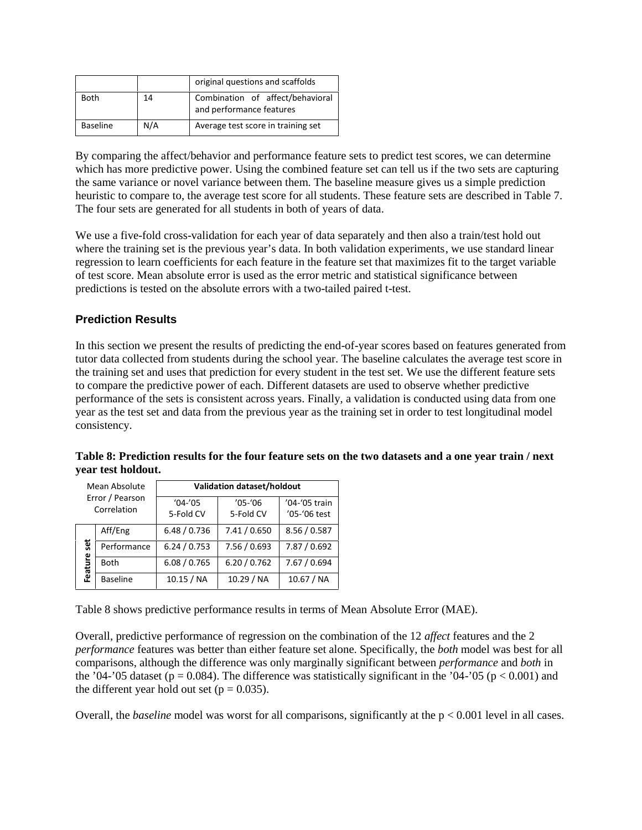|                 |     | original questions and scaffolds                             |
|-----------------|-----|--------------------------------------------------------------|
| <b>Both</b>     | 14  | Combination of affect/behavioral<br>and performance features |
| <b>Baseline</b> | N/A | Average test score in training set                           |

By comparing the affect/behavior and performance feature sets to predict test scores, we can determine which has more predictive power. Using the combined feature set can tell us if the two sets are capturing the same variance or novel variance between them. The baseline measure gives us a simple prediction heuristic to compare to, the average test score for all students. These feature sets are described in Table 7. The four sets are generated for all students in both of years of data.

We use a five-fold cross-validation for each year of data separately and then also a train/test hold out where the training set is the previous year's data. In both validation experiments, we use standard linear regression to learn coefficients for each feature in the feature set that maximizes fit to the target variable of test score. Mean absolute error is used as the error metric and statistical significance between predictions is tested on the absolute errors with a two-tailed paired t-test.

### **Prediction Results**

In this section we present the results of predicting the end-of-year scores based on features generated from tutor data collected from students during the school year. The baseline calculates the average test score in the training set and uses that prediction for every student in the test set. We use the different feature sets to compare the predictive power of each. Different datasets are used to observe whether predictive performance of the sets is consistent across years. Finally, a validation is conducted using data from one year as the test set and data from the previous year as the training set in order to test longitudinal model consistency.

| Mean Absolute<br>Error / Pearson<br>Correlation |                 | Validation dataset/holdout |                          |                               |  |
|-------------------------------------------------|-----------------|----------------------------|--------------------------|-------------------------------|--|
|                                                 |                 | $'04-'05$<br>5-Fold CV     | $'05 - '06$<br>5-Fold CV | '04-'05 train<br>'05-'06 test |  |
|                                                 | Aff/Eng         | 6.48 / 0.736               | 7.41/0.650               | 8.56 / 0.587                  |  |
| set                                             | Performance     | 6.24 / 0.753               | 7.56 / 0.693             | 7.87 / 0.692                  |  |
| Feature                                         | <b>Both</b>     | 6.08 / 0.765               | 6.20 / 0.762             | 7.67 / 0.694                  |  |
|                                                 | <b>Baseline</b> | 10.15 / NA                 | 10.29 / NA               | 10.67 / NA                    |  |

**Table 8: Prediction results for the four feature sets on the two datasets and a one year train / next year test holdout.**

Table 8 shows predictive performance results in terms of Mean Absolute Error (MAE).

Overall, predictive performance of regression on the combination of the 12 *affect* features and the 2 *performance* features was better than either feature set alone. Specifically, the *both* model was best for all comparisons, although the difference was only marginally significant between *performance* and *both* in the '04-'05 dataset ( $p = 0.084$ ). The difference was statistically significant in the '04-'05 ( $p < 0.001$ ) and the different year hold out set ( $p = 0.035$ ).

Overall, the *baseline* model was worst for all comparisons, significantly at the  $p < 0.001$  level in all cases.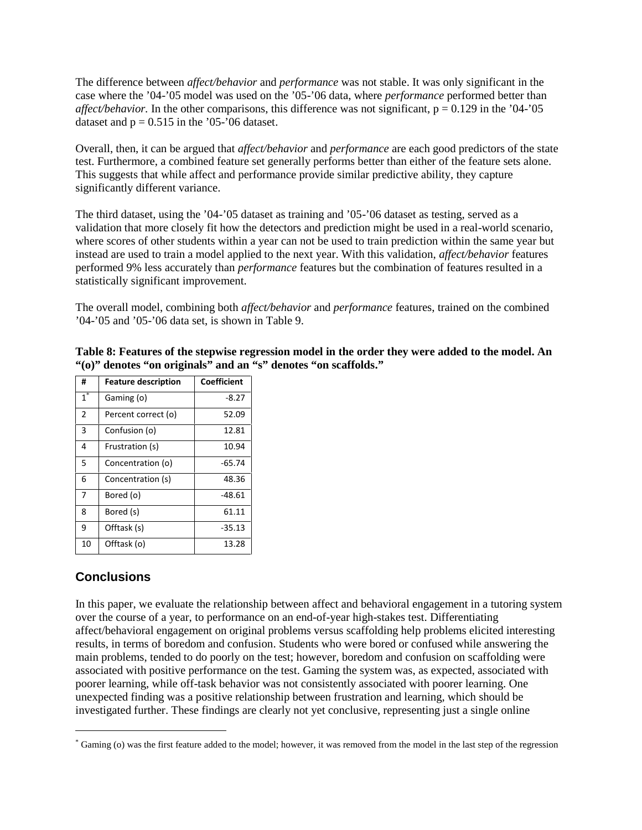The difference between *affect/behavior* and *performance* was not stable. It was only significant in the case where the '04-'05 model was used on the '05-'06 data, where *performance* performed better than *affect/behavior.* In the other comparisons, this difference was not significant,  $p = 0.129$  in the '04-'05 dataset and  $p = 0.515$  in the '05-'06 dataset.

Overall, then, it can be argued that *affect/behavior* and *performance* are each good predictors of the state test. Furthermore, a combined feature set generally performs better than either of the feature sets alone. This suggests that while affect and performance provide similar predictive ability, they capture significantly different variance.

The third dataset, using the '04-'05 dataset as training and '05-'06 dataset as testing, served as a validation that more closely fit how the detectors and prediction might be used in a real-world scenario, where scores of other students within a year can not be used to train prediction within the same year but instead are used to train a model applied to the next year. With this validation, *affect/behavior* features performed 9% less accurately than *performance* features but the combination of features resulted in a statistically significant improvement.

The overall model, combining both *affect/behavior* and *performance* features, trained on the combined '04-'05 and '05-'06 data set, is shown in Table 9.

| #                | <b>Feature description</b> | Coefficient |
|------------------|----------------------------|-------------|
| $\overline{1}^*$ | Gaming (o)                 | $-8.27$     |
| 2                | Percent correct (o)        | 52.09       |
| 3                | Confusion (o)              | 12.81       |
| 4                | Frustration (s)            | 10.94       |
| 5                | Concentration (o)          | $-65.74$    |
| 6                | Concentration (s)          | 48.36       |
| 7                | Bored (o)                  | -48.61      |
| 8                | Bored (s)                  | 61.11       |
| 9                | Offtask (s)                | $-35.13$    |
| 10               | Offtask (o)                | 13.28       |

**Table 8: Features of the stepwise regression model in the order they were added to the model. An "(o)" denotes "on originals" and an "s" denotes "on scaffolds."**

# **Conclusions**

In this paper, we evaluate the relationship between affect and behavioral engagement in a tutoring system over the course of a year, to performance on an end-of-year high-stakes test. Differentiating affect/behavioral engagement on original problems versus scaffolding help problems elicited interesting results, in terms of boredom and confusion. Students who were bored or confused while answering the main problems, tended to do poorly on the test; however, boredom and confusion on scaffolding were associated with positive performance on the test. Gaming the system was, as expected, associated with poorer learning, while off-task behavior was not consistently associated with poorer learning. One unexpected finding was a positive relationship between frustration and learning, which should be investigated further. These findings are clearly not yet conclusive, representing just a single online

<sup>\*</sup> Gaming (o) was the first feature added to the model; however, it was removed from the model in the last step of the regression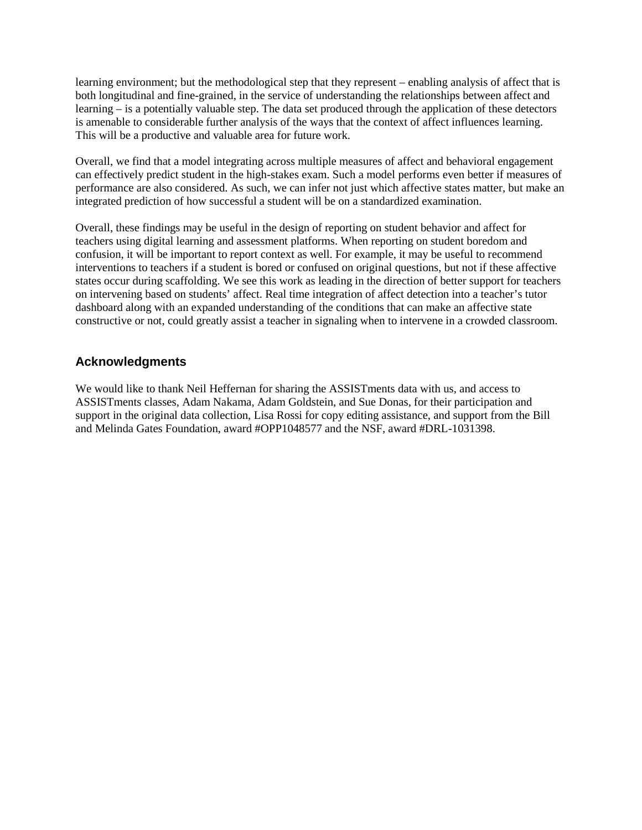learning environment; but the methodological step that they represent – enabling analysis of affect that is both longitudinal and fine-grained, in the service of understanding the relationships between affect and learning – is a potentially valuable step. The data set produced through the application of these detectors is amenable to considerable further analysis of the ways that the context of affect influences learning. This will be a productive and valuable area for future work.

Overall, we find that a model integrating across multiple measures of affect and behavioral engagement can effectively predict student in the high-stakes exam. Such a model performs even better if measures of performance are also considered. As such, we can infer not just which affective states matter, but make an integrated prediction of how successful a student will be on a standardized examination.

Overall, these findings may be useful in the design of reporting on student behavior and affect for teachers using digital learning and assessment platforms. When reporting on student boredom and confusion, it will be important to report context as well. For example, it may be useful to recommend interventions to teachers if a student is bored or confused on original questions, but not if these affective states occur during scaffolding. We see this work as leading in the direction of better support for teachers on intervening based on students' affect. Real time integration of affect detection into a teacher's tutor dashboard along with an expanded understanding of the conditions that can make an affective state constructive or not, could greatly assist a teacher in signaling when to intervene in a crowded classroom.

# **Acknowledgments**

We would like to thank Neil Heffernan for sharing the ASSISTments data with us, and access to ASSISTments classes, Adam Nakama, Adam Goldstein, and Sue Donas, for their participation and support in the original data collection, Lisa Rossi for copy editing assistance, and support from the Bill and Melinda Gates Foundation, award #OPP1048577 and the NSF, award #DRL-1031398.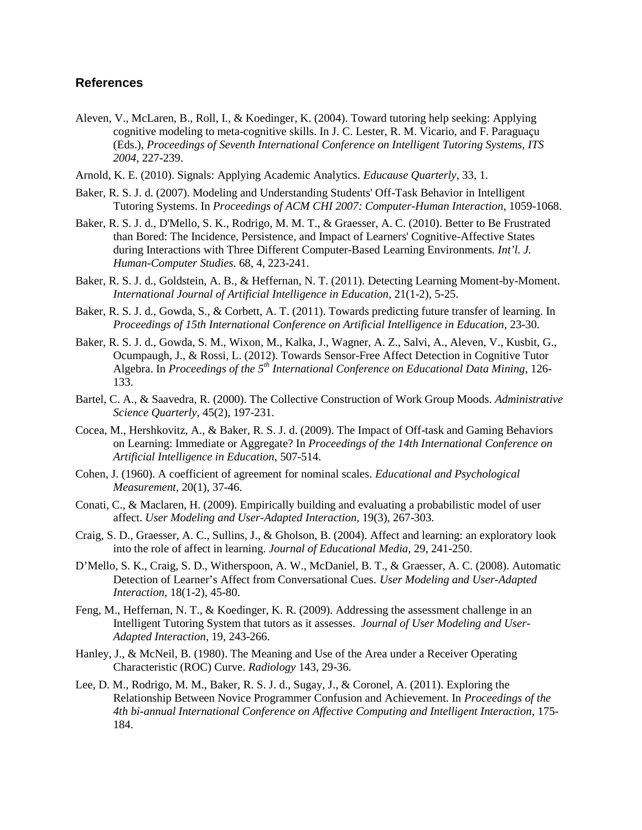### **References**

- Aleven, V., McLaren, B., Roll, I., & Koedinger, K. (2004). Toward tutoring help seeking: Applying cognitive modeling to meta-cognitive skills. In J. C. Lester, R. M. Vicario, and F. Paraguaçu (Eds.), *Proceedings of Seventh International Conference on Intelligent Tutoring Systems, ITS 2004*, 227-239.
- Arnold, K. E. (2010). Signals: Applying Academic Analytics. *Educause Quarterly*, 33, 1.
- Baker, R. S. J. d. (2007). Modeling and Understanding Students' Off-Task Behavior in Intelligent Tutoring Systems. In *Proceedings of ACM CHI 2007: Computer-Human Interaction*, 1059-1068.
- Baker, R. S. J. d., D'Mello, S. K., Rodrigo, M. M. T., & Graesser, A. C. (2010). Better to Be Frustrated than Bored: The Incidence, Persistence, and Impact of Learners' Cognitive-Affective States during Interactions with Three Different Computer-Based Learning Environments. *Int'l. J. Human-Computer Studies.* 68, 4, 223-241.
- Baker, R. S. J. d., Goldstein, A. B., & Heffernan, N. T. (2011). Detecting Learning Moment-by-Moment. *International Journal of Artificial Intelligence in Education*, 21(1-2), 5-25.
- Baker, R. S. J. d., Gowda, S., & Corbett, A. T. (2011). Towards predicting future transfer of learning. In *Proceedings of 15th International Conference on Artificial Intelligence in Education*, 23-30.
- Baker, R. S. J. d., Gowda, S. M., Wixon, M., Kalka, J., Wagner, A. Z., Salvi, A., Aleven, V., Kusbit, G., Ocumpaugh, J., & Rossi, L. (2012). Towards Sensor-Free Affect Detection in Cognitive Tutor Algebra. In *Proceedings of the 5th International Conference on Educational Data Mining*, 126- 133.
- Bartel, C. A., & Saavedra, R. (2000). The Collective Construction of Work Group Moods. *Administrative Science Quarterly,* 45(2), 197-231.
- Cocea, M., Hershkovitz, A., & Baker, R. S. J. d. (2009). The Impact of Off-task and Gaming Behaviors on Learning: Immediate or Aggregate? In *Proceedings of the 14th International Conference on Artificial Intelligence in Education*, 507-514.
- Cohen, J. (1960). A coefficient of agreement for nominal scales. *Educational and Psychological Measurement,* 20(1), 37-46.
- Conati, C., & Maclaren, H. (2009). Empirically building and evaluating a probabilistic model of user affect. *User Modeling and User-Adapted Interaction,* 19(3), 267-303.
- Craig, S. D., Graesser, A. C., Sullins, J., & Gholson, B. (2004). Affect and learning: an exploratory look into the role of affect in learning. *Journal of Educational Media*, 29, 241-250.
- D'Mello, S. K., Craig, S. D., Witherspoon, A. W., McDaniel, B. T., & Graesser, A. C. (2008). Automatic Detection of Learner's Affect from Conversational Cues. *User Modeling and User-Adapted Interaction,* 18(1-2), 45-80.
- Feng, M., Heffernan, N. T., & Koedinger, K. R. (2009). Addressing the assessment challenge in an Intelligent Tutoring System that tutors as it assesses. *Journal of User Modeling and User- Adapted Interaction*, 19, 243-266.
- Hanley, J., & McNeil, B. (1980). The Meaning and Use of the Area under a Receiver Operating Characteristic (ROC) Curve. *Radiology* 143, 29-36.
- Lee, D. M., Rodrigo, M. M., Baker, R. S. J. d., Sugay, J., & Coronel, A. (2011). Exploring the Relationship Between Novice Programmer Confusion and Achievement. In *Proceedings of the 4th bi-annual International Conference on Affective Computing and Intelligent Interaction*, 175- 184.